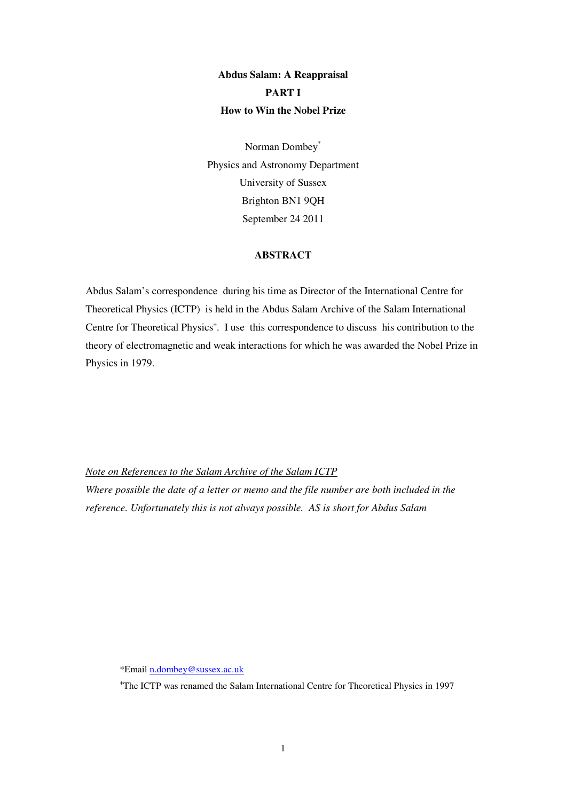## **Abdus Salam: A Reappraisal PART I How to Win the Nobel Prize**

Norman Dombey\* Physics and Astronomy Department University of Sussex Brighton BN1 9QH September 24 2011

## **ABSTRACT**

Abdus Salam's correspondence during his time as Director of the International Centre for Theoretical Physics (ICTP) is held in the Abdus Salam Archive of the Salam International Centre for Theoretical Physics<sup>+</sup>. I use this correspondence to discuss his contribution to the theory of electromagnetic and weak interactions for which he was awarded the Nobel Prize in Physics in 1979.

## *Note on References to the Salam Archive of the Salam ICTP*

*Where possible the date of a letter or memo and the file number are both included in the reference. Unfortunately this is not always possible. AS is short for Abdus Salam* 

\*Email n.dombey@sussex.ac.uk

+ The ICTP was renamed the Salam International Centre for Theoretical Physics in 1997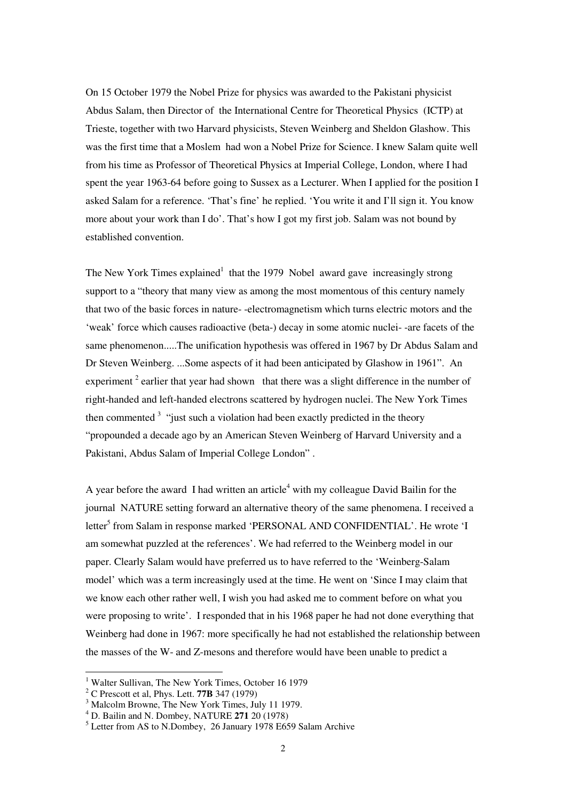On 15 October 1979 the Nobel Prize for physics was awarded to the Pakistani physicist Abdus Salam, then Director of the International Centre for Theoretical Physics (ICTP) at Trieste, together with two Harvard physicists, Steven Weinberg and Sheldon Glashow. This was the first time that a Moslem had won a Nobel Prize for Science. I knew Salam quite well from his time as Professor of Theoretical Physics at Imperial College, London, where I had spent the year 1963-64 before going to Sussex as a Lecturer. When I applied for the position I asked Salam for a reference. 'That's fine' he replied. 'You write it and I'll sign it. You know more about your work than I do'. That's how I got my first job. Salam was not bound by established convention.

The New York Times  $explained<sup>1</sup>$  that the 1979 Nobel award gave increasingly strong support to a "theory that many view as among the most momentous of this century namely that two of the basic forces in nature- -electromagnetism which turns electric motors and the 'weak' force which causes radioactive (beta-) decay in some atomic nuclei- -are facets of the same phenomenon.....The unification hypothesis was offered in 1967 by Dr Abdus Salam and Dr Steven Weinberg. ...Some aspects of it had been anticipated by Glashow in 1961". An experiment  $2$  earlier that year had shown that there was a slight difference in the number of right-handed and left-handed electrons scattered by hydrogen nuclei. The New York Times then commented  $3$  "just such a violation had been exactly predicted in the theory "propounded a decade ago by an American Steven Weinberg of Harvard University and a Pakistani, Abdus Salam of Imperial College London" .

A year before the award I had written an article<sup>4</sup> with my colleague David Bailin for the journal NATURE setting forward an alternative theory of the same phenomena. I received a letter<sup>5</sup> from Salam in response marked 'PERSONAL AND CONFIDENTIAL'. He wrote 'I am somewhat puzzled at the references'. We had referred to the Weinberg model in our paper. Clearly Salam would have preferred us to have referred to the 'Weinberg-Salam model' which was a term increasingly used at the time. He went on 'Since I may claim that we know each other rather well, I wish you had asked me to comment before on what you were proposing to write'. I responded that in his 1968 paper he had not done everything that Weinberg had done in 1967: more specifically he had not established the relationship between the masses of the W- and Z-mesons and therefore would have been unable to predict a

<sup>&</sup>lt;sup>1</sup> Walter Sullivan, The New York Times, October 16 1979

<sup>2</sup> C Prescott et al, Phys. Lett. **77B** 347 (1979)

<sup>&</sup>lt;sup>3</sup> Malcolm Browne, The New York Times, July 11 1979.

<sup>4</sup> D. Bailin and N. Dombey, NATURE **271** 20 (1978)

<sup>&</sup>lt;sup>5</sup> Letter from AS to N.Dombey, 26 January 1978 E659 Salam Archive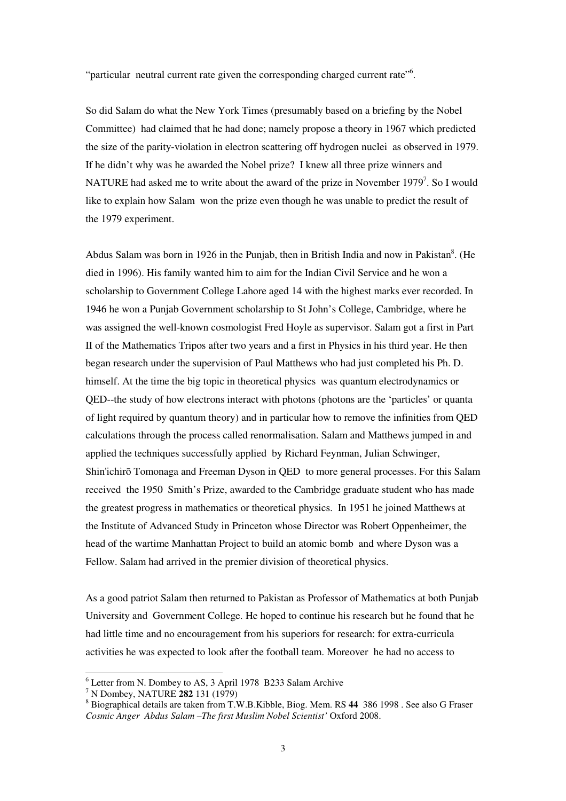"particular neutral current rate given the corresponding charged current rate"<sup>6</sup>.

So did Salam do what the New York Times (presumably based on a briefing by the Nobel Committee) had claimed that he had done; namely propose a theory in 1967 which predicted the size of the parity-violation in electron scattering off hydrogen nuclei as observed in 1979. If he didn't why was he awarded the Nobel prize? I knew all three prize winners and NATURE had asked me to write about the award of the prize in November 1979<sup>7</sup>. So I would like to explain how Salam won the prize even though he was unable to predict the result of the 1979 experiment.

Abdus Salam was born in 1926 in the Punjab, then in British India and now in Pakistan $^8$ . (He died in 1996). His family wanted him to aim for the Indian Civil Service and he won a scholarship to Government College Lahore aged 14 with the highest marks ever recorded. In 1946 he won a Punjab Government scholarship to St John's College, Cambridge, where he was assigned the well-known cosmologist Fred Hoyle as supervisor. Salam got a first in Part II of the Mathematics Tripos after two years and a first in Physics in his third year. He then began research under the supervision of Paul Matthews who had just completed his Ph. D. himself. At the time the big topic in theoretical physics was quantum electrodynamics or QED--the study of how electrons interact with photons (photons are the 'particles' or quanta of light required by quantum theory) and in particular how to remove the infinities from QED calculations through the process called renormalisation. Salam and Matthews jumped in and applied the techniques successfully applied by Richard Feynman, Julian Schwinger, Shin'ichirō Tomonaga and Freeman Dyson in QED to more general processes. For this Salam received the 1950 Smith's Prize, awarded to the Cambridge graduate student who has made the greatest progress in mathematics or theoretical physics. In 1951 he joined Matthews at the Institute of Advanced Study in Princeton whose Director was Robert Oppenheimer, the head of the wartime Manhattan Project to build an atomic bomb and where Dyson was a Fellow. Salam had arrived in the premier division of theoretical physics.

As a good patriot Salam then returned to Pakistan as Professor of Mathematics at both Punjab University and Government College. He hoped to continue his research but he found that he had little time and no encouragement from his superiors for research: for extra-curricula activities he was expected to look after the football team. Moreover he had no access to

 6 Letter from N. Dombey to AS, 3 April 1978 B233 Salam Archive

<sup>7</sup> N Dombey, NATURE **282** 131 (1979)

<sup>8</sup> Biographical details are taken from T.W.B.Kibble, Biog. Mem. RS **44** 386 1998 . See also G Fraser *Cosmic Anger Abdus Salam –The first Muslim Nobel Scientist'* Oxford 2008.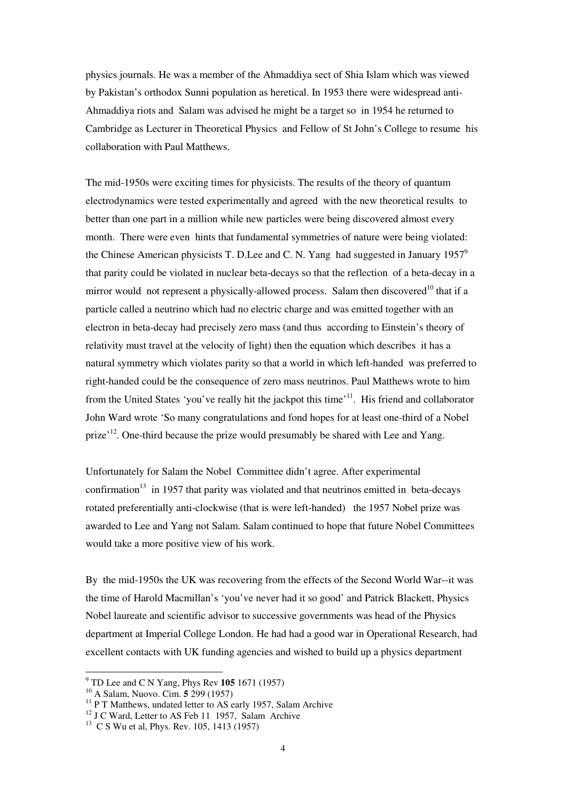physics journals. He was a member of the Ahmaddiya sect of Shia Islam which was viewed by Pakistan's orthodox Sunni population as heretical. In 1953 there were widespread anti-Ahmaddiya riots and Salam was advised he might be a target so in 1954 he returned to Cambridge as Lecturer in Theoretical Physics and Fellow of St John's College to resume his collaboration with Paul Matthews.

The mid-1950s were exciting times for physicists. The results of the theory of quantum electrodynamics were tested experimentally and agreed with the new theoretical results to better than one part in a million while new particles were being discovered almost every month. There were even hints that fundamental symmetries of nature were being violated: the Chinese American physicists T. D. Lee and C. N. Yang had suggested in January  $1957^9$ that parity could be violated in nuclear beta-decays so that the reflection of a beta-decay in a mirror would not represent a physically-allowed process. Salam then discovered<sup>10</sup> that if a particle called a neutrino which had no electric charge and was emitted together with an electron in beta-decay had precisely zero mass (and thus according to Einstein's theory of relativity must travel at the velocity of light) then the equation which describes it has a natural symmetry which violates parity so that a world in which left-handed was preferred to right-handed could be the consequence of zero mass neutrinos. Paul Matthews wrote to him from the United States 'you've really hit the jackpot this time'<sup>11</sup>. His friend and collaborator John Ward wrote 'So many congratulations and fond hopes for at least one-third of a Nobel prize'<sup>12</sup>. One-third because the prize would presumably be shared with Lee and Yang.

Unfortunately for Salam the Nobel Committee didn't agree. After experimental confirmation<sup>13</sup> in 1957 that parity was violated and that neutrinos emitted in beta-decays rotated preferentially anti-clockwise (that is were left-handed) the 1957 Nobel prize was awarded to Lee and Yang not Salam. Salam continued to hope that future Nobel Committees would take a more positive view of his work.

By the mid-1950s the UK was recovering from the effects of the Second World War--it was the time of Harold Macmillan's 'you've never had it so good' and Patrick Blackett, Physics Nobel laureate and scientific advisor to successive governments was head of the Physics department at Imperial College London. He had had a good war in Operational Research, had excellent contacts with UK funding agencies and wished to build up a physics department

 9 TD Lee and C N Yang, Phys Rev **105** 1671 (1957)

<sup>10</sup> A Salam, Nuovo. Cim. **5** 299 (1957)

<sup>&</sup>lt;sup>11</sup> P T Matthews, undated letter to AS early 1957, Salam Archive

<sup>&</sup>lt;sup>12</sup> J C Ward, Letter to AS Feb 11 1957, Salam Archive

<sup>&</sup>lt;sup>13</sup> C S Wu et al, Phys. Rev. 105, 1413 (1957)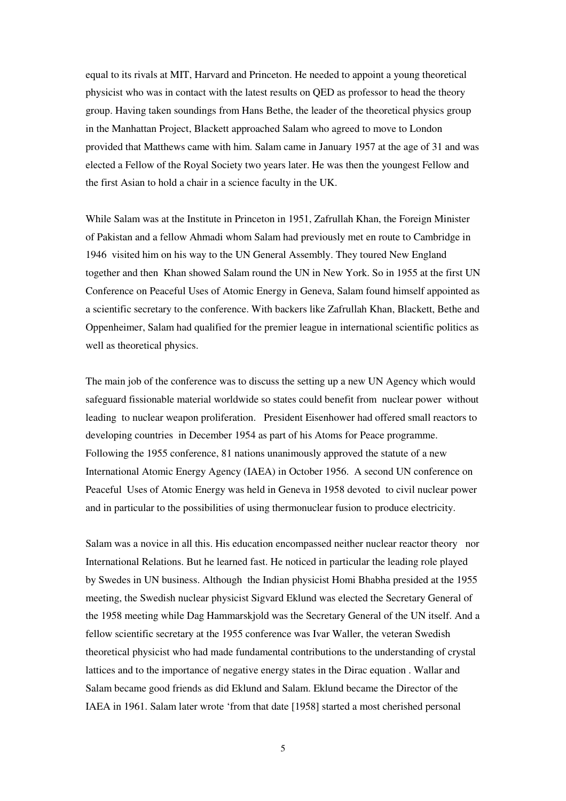equal to its rivals at MIT, Harvard and Princeton. He needed to appoint a young theoretical physicist who was in contact with the latest results on QED as professor to head the theory group. Having taken soundings from Hans Bethe, the leader of the theoretical physics group in the Manhattan Project, Blackett approached Salam who agreed to move to London provided that Matthews came with him. Salam came in January 1957 at the age of 31 and was elected a Fellow of the Royal Society two years later. He was then the youngest Fellow and the first Asian to hold a chair in a science faculty in the UK.

While Salam was at the Institute in Princeton in 1951, Zafrullah Khan, the Foreign Minister of Pakistan and a fellow Ahmadi whom Salam had previously met en route to Cambridge in 1946 visited him on his way to the UN General Assembly. They toured New England together and then Khan showed Salam round the UN in New York. So in 1955 at the first UN Conference on Peaceful Uses of Atomic Energy in Geneva, Salam found himself appointed as a scientific secretary to the conference. With backers like Zafrullah Khan, Blackett, Bethe and Oppenheimer, Salam had qualified for the premier league in international scientific politics as well as theoretical physics.

The main job of the conference was to discuss the setting up a new UN Agency which would safeguard fissionable material worldwide so states could benefit from nuclear power without leading to nuclear weapon proliferation. President Eisenhower had offered small reactors to developing countries in December 1954 as part of his Atoms for Peace programme. Following the 1955 conference, 81 nations unanimously approved the statute of a new International Atomic Energy Agency (IAEA) in October 1956. A second UN conference on Peaceful Uses of Atomic Energy was held in Geneva in 1958 devoted to civil nuclear power and in particular to the possibilities of using thermonuclear fusion to produce electricity.

Salam was a novice in all this. His education encompassed neither nuclear reactor theory nor International Relations. But he learned fast. He noticed in particular the leading role played by Swedes in UN business. Although the Indian physicist Homi Bhabha presided at the 1955 meeting, the Swedish nuclear physicist Sigvard Eklund was elected the Secretary General of the 1958 meeting while Dag Hammarskjold was the Secretary General of the UN itself. And a fellow scientific secretary at the 1955 conference was Ivar Waller, the veteran Swedish theoretical physicist who had made fundamental contributions to the understanding of crystal lattices and to the importance of negative energy states in the Dirac equation . Wallar and Salam became good friends as did Eklund and Salam. Eklund became the Director of the IAEA in 1961. Salam later wrote 'from that date [1958] started a most cherished personal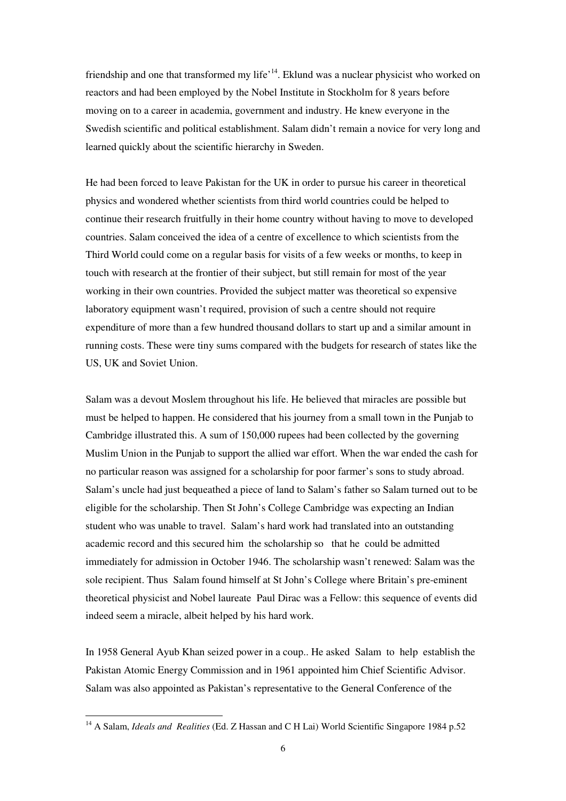friendship and one that transformed my life<sup>14</sup>. Eklund was a nuclear physicist who worked on reactors and had been employed by the Nobel Institute in Stockholm for 8 years before moving on to a career in academia, government and industry. He knew everyone in the Swedish scientific and political establishment. Salam didn't remain a novice for very long and learned quickly about the scientific hierarchy in Sweden.

He had been forced to leave Pakistan for the UK in order to pursue his career in theoretical physics and wondered whether scientists from third world countries could be helped to continue their research fruitfully in their home country without having to move to developed countries. Salam conceived the idea of a centre of excellence to which scientists from the Third World could come on a regular basis for visits of a few weeks or months, to keep in touch with research at the frontier of their subject, but still remain for most of the year working in their own countries. Provided the subject matter was theoretical so expensive laboratory equipment wasn't required, provision of such a centre should not require expenditure of more than a few hundred thousand dollars to start up and a similar amount in running costs. These were tiny sums compared with the budgets for research of states like the US, UK and Soviet Union.

Salam was a devout Moslem throughout his life. He believed that miracles are possible but must be helped to happen. He considered that his journey from a small town in the Punjab to Cambridge illustrated this. A sum of 150,000 rupees had been collected by the governing Muslim Union in the Punjab to support the allied war effort. When the war ended the cash for no particular reason was assigned for a scholarship for poor farmer's sons to study abroad. Salam's uncle had just bequeathed a piece of land to Salam's father so Salam turned out to be eligible for the scholarship. Then St John's College Cambridge was expecting an Indian student who was unable to travel. Salam's hard work had translated into an outstanding academic record and this secured him the scholarship so that he could be admitted immediately for admission in October 1946. The scholarship wasn't renewed: Salam was the sole recipient. Thus Salam found himself at St John's College where Britain's pre-eminent theoretical physicist and Nobel laureate Paul Dirac was a Fellow: this sequence of events did indeed seem a miracle, albeit helped by his hard work.

In 1958 General Ayub Khan seized power in a coup.. He asked Salam to help establish the Pakistan Atomic Energy Commission and in 1961 appointed him Chief Scientific Advisor. Salam was also appointed as Pakistan's representative to the General Conference of the

<sup>&</sup>lt;sup>14</sup> A Salam, *Ideals and Realities* (Ed. Z Hassan and C H Lai) World Scientific Singapore 1984 p.52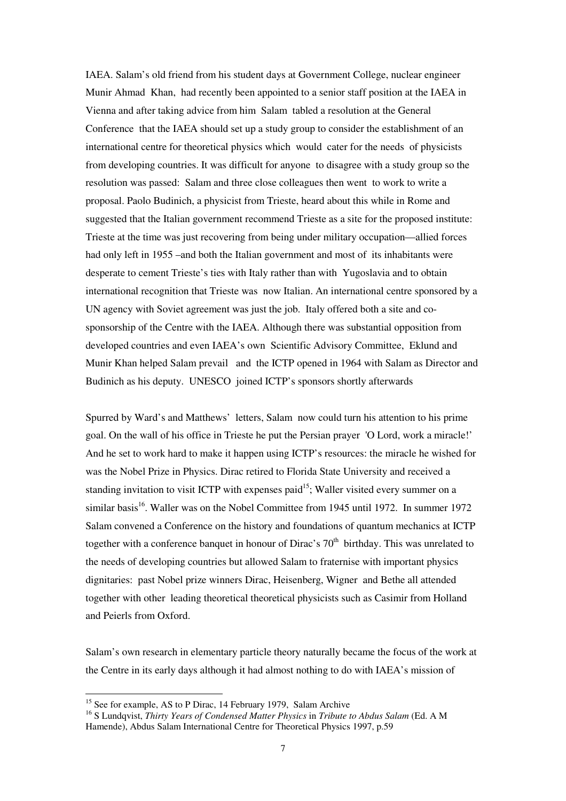IAEA. Salam's old friend from his student days at Government College, nuclear engineer Munir Ahmad Khan, had recently been appointed to a senior staff position at the IAEA in Vienna and after taking advice from him Salam tabled a resolution at the General Conference that the IAEA should set up a study group to consider the establishment of an international centre for theoretical physics which would cater for the needs of physicists from developing countries. It was difficult for anyone to disagree with a study group so the resolution was passed: Salam and three close colleagues then went to work to write a proposal. Paolo Budinich, a physicist from Trieste, heard about this while in Rome and suggested that the Italian government recommend Trieste as a site for the proposed institute: Trieste at the time was just recovering from being under military occupation—allied forces had only left in 1955 –and both the Italian government and most of its inhabitants were desperate to cement Trieste's ties with Italy rather than with Yugoslavia and to obtain international recognition that Trieste was now Italian. An international centre sponsored by a UN agency with Soviet agreement was just the job. Italy offered both a site and cosponsorship of the Centre with the IAEA. Although there was substantial opposition from developed countries and even IAEA's own Scientific Advisory Committee, Eklund and Munir Khan helped Salam prevail and the ICTP opened in 1964 with Salam as Director and Budinich as his deputy. UNESCO joined ICTP's sponsors shortly afterwards

Spurred by Ward's and Matthews' letters, Salam now could turn his attention to his prime goal. On the wall of his office in Trieste he put the Persian prayer 'O Lord, work a miracle!' And he set to work hard to make it happen using ICTP's resources: the miracle he wished for was the Nobel Prize in Physics. Dirac retired to Florida State University and received a standing invitation to visit ICTP with expenses paid<sup>15</sup>; Waller visited every summer on a similar basis<sup>16</sup>. Waller was on the Nobel Committee from 1945 until 1972. In summer 1972 Salam convened a Conference on the history and foundations of quantum mechanics at ICTP together with a conference banquet in honour of Dirac's  $70<sup>th</sup>$  birthday. This was unrelated to the needs of developing countries but allowed Salam to fraternise with important physics dignitaries: past Nobel prize winners Dirac, Heisenberg, Wigner and Bethe all attended together with other leading theoretical theoretical physicists such as Casimir from Holland and Peierls from Oxford.

Salam's own research in elementary particle theory naturally became the focus of the work at the Centre in its early days although it had almost nothing to do with IAEA's mission of

<sup>&</sup>lt;sup>15</sup> See for example, AS to P Dirac, 14 February 1979, Salam Archive

<sup>16</sup> S Lundqvist, *Thirty Years of Condensed Matter Physics* in *Tribute to Abdus Salam* (Ed. A M Hamende), Abdus Salam International Centre for Theoretical Physics 1997, p.59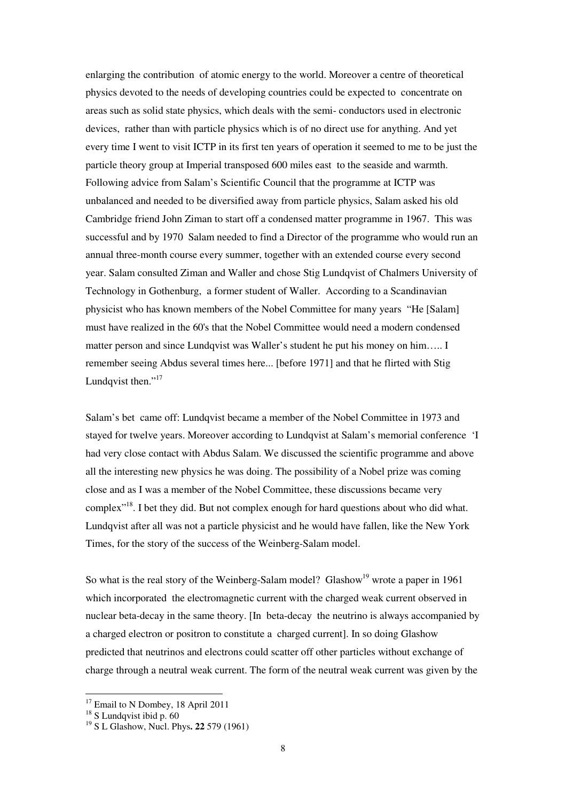enlarging the contribution of atomic energy to the world. Moreover a centre of theoretical physics devoted to the needs of developing countries could be expected to concentrate on areas such as solid state physics, which deals with the semi- conductors used in electronic devices, rather than with particle physics which is of no direct use for anything. And yet every time I went to visit ICTP in its first ten years of operation it seemed to me to be just the particle theory group at Imperial transposed 600 miles east to the seaside and warmth. Following advice from Salam's Scientific Council that the programme at ICTP was unbalanced and needed to be diversified away from particle physics, Salam asked his old Cambridge friend John Ziman to start off a condensed matter programme in 1967. This was successful and by 1970 Salam needed to find a Director of the programme who would run an annual three-month course every summer, together with an extended course every second year. Salam consulted Ziman and Waller and chose Stig Lundqvist of Chalmers University of Technology in Gothenburg, a former student of Waller. According to a Scandinavian physicist who has known members of the Nobel Committee for many years "He [Salam] must have realized in the 60's that the Nobel Committee would need a modern condensed matter person and since Lundqvist was Waller's student he put his money on him….. I remember seeing Abdus several times here... [before 1971] and that he flirted with Stig Lundqvist then." $17$ 

Salam's bet came off: Lundqvist became a member of the Nobel Committee in 1973 and stayed for twelve years. Moreover according to Lundqvist at Salam's memorial conference 'I had very close contact with Abdus Salam. We discussed the scientific programme and above all the interesting new physics he was doing. The possibility of a Nobel prize was coming close and as I was a member of the Nobel Committee, these discussions became very complex"<sup>18</sup>. I bet they did. But not complex enough for hard questions about who did what. Lundqvist after all was not a particle physicist and he would have fallen, like the New York Times, for the story of the success of the Weinberg-Salam model.

So what is the real story of the Weinberg-Salam model? Glashow<sup>19</sup> wrote a paper in 1961 which incorporated the electromagnetic current with the charged weak current observed in nuclear beta-decay in the same theory. [In beta-decay the neutrino is always accompanied by a charged electron or positron to constitute a charged current]. In so doing Glashow predicted that neutrinos and electrons could scatter off other particles without exchange of charge through a neutral weak current. The form of the neutral weak current was given by the

<sup>&</sup>lt;sup>17</sup> Email to N Dombey, 18 April 2011

 $18$  S Lundqvist ibid p. 60

<sup>19</sup> S L Glashow, Nucl. Phys**. 22** 579 (1961)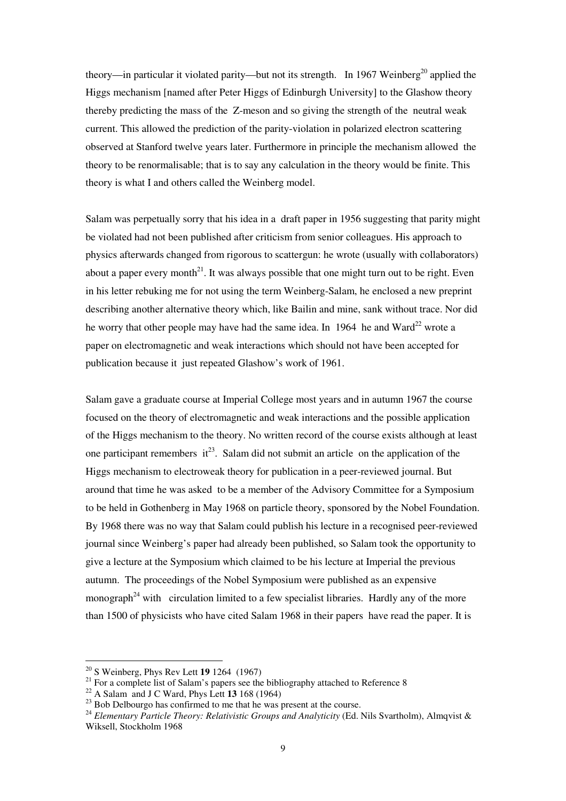theory—in particular it violated parity—but not its strength. In 1967 Weinberg<sup>20</sup> applied the Higgs mechanism [named after Peter Higgs of Edinburgh University] to the Glashow theory thereby predicting the mass of the Z-meson and so giving the strength of the neutral weak current. This allowed the prediction of the parity-violation in polarized electron scattering observed at Stanford twelve years later. Furthermore in principle the mechanism allowed the theory to be renormalisable; that is to say any calculation in the theory would be finite. This theory is what I and others called the Weinberg model.

Salam was perpetually sorry that his idea in a draft paper in 1956 suggesting that parity might be violated had not been published after criticism from senior colleagues. His approach to physics afterwards changed from rigorous to scattergun: he wrote (usually with collaborators) about a paper every month<sup>21</sup>. It was always possible that one might turn out to be right. Even in his letter rebuking me for not using the term Weinberg-Salam, he enclosed a new preprint describing another alternative theory which, like Bailin and mine, sank without trace. Nor did he worry that other people may have had the same idea. In 1964 he and Ward<sup>22</sup> wrote a paper on electromagnetic and weak interactions which should not have been accepted for publication because it just repeated Glashow's work of 1961.

Salam gave a graduate course at Imperial College most years and in autumn 1967 the course focused on the theory of electromagnetic and weak interactions and the possible application of the Higgs mechanism to the theory. No written record of the course exists although at least one participant remembers  $it^{23}$ . Salam did not submit an article on the application of the Higgs mechanism to electroweak theory for publication in a peer-reviewed journal. But around that time he was asked to be a member of the Advisory Committee for a Symposium to be held in Gothenberg in May 1968 on particle theory, sponsored by the Nobel Foundation. By 1968 there was no way that Salam could publish his lecture in a recognised peer-reviewed journal since Weinberg's paper had already been published, so Salam took the opportunity to give a lecture at the Symposium which claimed to be his lecture at Imperial the previous autumn. The proceedings of the Nobel Symposium were published as an expensive monograph<sup> $24$ </sup> with circulation limited to a few specialist libraries. Hardly any of the more than 1500 of physicists who have cited Salam 1968 in their papers have read the paper. It is

<sup>20</sup> S Weinberg, Phys Rev Lett **19** 1264 (1967)

<sup>&</sup>lt;sup>21</sup> For a complete list of Salam's papers see the bibliography attached to Reference 8

<sup>22</sup> A Salam and J C Ward, Phys Lett **13** 168 (1964)

<sup>&</sup>lt;sup>23</sup> Bob Delbourgo has confirmed to me that he was present at the course.

<sup>&</sup>lt;sup>24</sup> Elementary Particle Theory: Relativistic Groups and Analyticity (Ed. Nils Svartholm), Almqvist & Wiksell, Stockholm 1968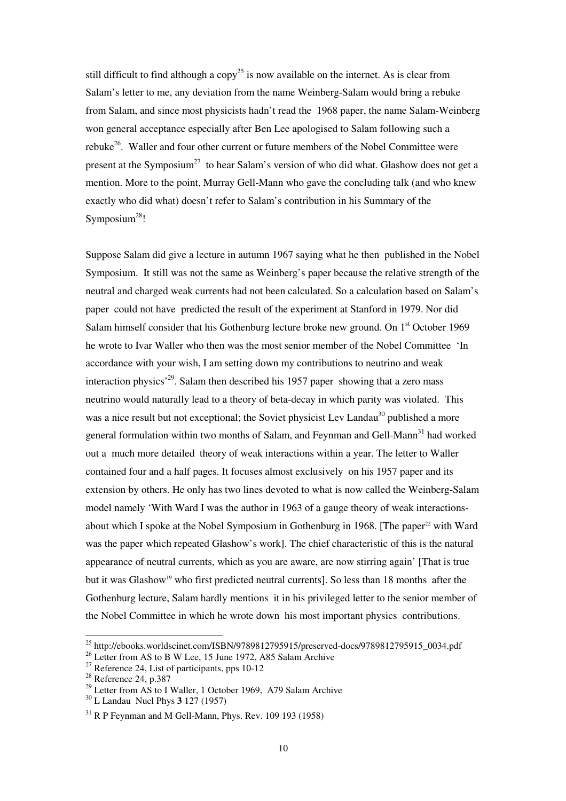still difficult to find although a  $copy^{25}$  is now available on the internet. As is clear from Salam's letter to me, any deviation from the name Weinberg-Salam would bring a rebuke from Salam, and since most physicists hadn't read the 1968 paper, the name Salam-Weinberg won general acceptance especially after Ben Lee apologised to Salam following such a rebuke<sup>26</sup>. Waller and four other current or future members of the Nobel Committee were present at the Symposium<sup>27</sup> to hear Salam's version of who did what. Glashow does not get a mention. More to the point, Murray Gell-Mann who gave the concluding talk (and who knew exactly who did what) doesn't refer to Salam's contribution in his Summary of the Symposium $^{28}$ !

Suppose Salam did give a lecture in autumn 1967 saying what he then published in the Nobel Symposium. It still was not the same as Weinberg's paper because the relative strength of the neutral and charged weak currents had not been calculated. So a calculation based on Salam's paper could not have predicted the result of the experiment at Stanford in 1979. Nor did Salam himself consider that his Gothenburg lecture broke new ground. On  $1<sup>st</sup>$  October 1969 he wrote to Ivar Waller who then was the most senior member of the Nobel Committee 'In accordance with your wish, I am setting down my contributions to neutrino and weak interaction physics<sup> $29$ </sup>. Salam then described his 1957 paper showing that a zero mass neutrino would naturally lead to a theory of beta-decay in which parity was violated. This was a nice result but not exceptional; the Soviet physicist Lev Landau<sup>30</sup> published a more general formulation within two months of Salam, and Feynman and Gell-Mann<sup>31</sup> had worked out a much more detailed theory of weak interactions within a year. The letter to Waller contained four and a half pages. It focuses almost exclusively on his 1957 paper and its extension by others. He only has two lines devoted to what is now called the Weinberg-Salam model namely 'With Ward I was the author in 1963 of a gauge theory of weak interactionsabout which I spoke at the Nobel Symposium in Gothenburg in 1968. [The paper<sup>22</sup> with Ward was the paper which repeated Glashow's work]. The chief characteristic of this is the natural appearance of neutral currents, which as you are aware, are now stirring again' [That is true but it was Glashow<sup>19</sup> who first predicted neutral currents]. So less than 18 months after the Gothenburg lecture, Salam hardly mentions it in his privileged letter to the senior member of the Nobel Committee in which he wrote down his most important physics contributions.

<sup>&</sup>lt;sup>25</sup> http://ebooks.worldscinet.com/ISBN/9789812795915/preserved-docs/9789812795915\_0034.pdf

<sup>&</sup>lt;sup>26</sup> Letter from AS to B W Lee, 15 June 1972, A85 Salam Archive

 $27$  Reference 24, List of participants, pps 10-12

 $28$  Reference 24, p.387

 $^{29}$  Letter from AS to I Waller, 1 October 1969, A79 Salam Archive

<sup>30</sup> L Landau Nucl Phys **3** 127 (1957)

 $31$  R P Feynman and M Gell-Mann, Phys. Rev. 109 193 (1958)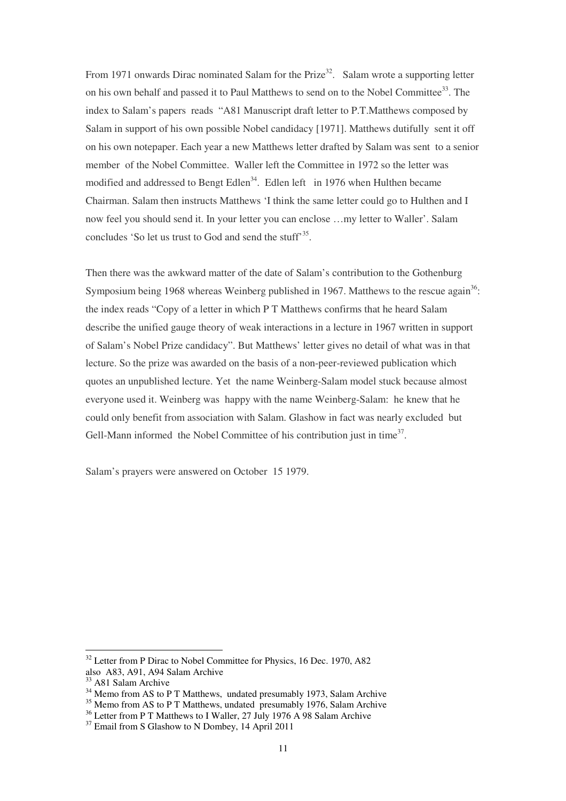From 1971 onwards Dirac nominated Salam for the Prize<sup>32</sup>. Salam wrote a supporting letter on his own behalf and passed it to Paul Matthews to send on to the Nobel Committee<sup>33</sup>. The index to Salam's papers reads "A81 Manuscript draft letter to P.T.Matthews composed by Salam in support of his own possible Nobel candidacy [1971]. Matthews dutifully sent it off on his own notepaper. Each year a new Matthews letter drafted by Salam was sent to a senior member of the Nobel Committee. Waller left the Committee in 1972 so the letter was modified and addressed to Bengt Edlen<sup>34</sup>. Edlen left in 1976 when Hulthen became Chairman. Salam then instructs Matthews 'I think the same letter could go to Hulthen and I now feel you should send it. In your letter you can enclose …my letter to Waller'. Salam concludes 'So let us trust to God and send the stuff<sup>35</sup>.

Then there was the awkward matter of the date of Salam's contribution to the Gothenburg Symposium being 1968 whereas Weinberg published in 1967. Matthews to the rescue again<sup>36</sup>: the index reads "Copy of a letter in which P T Matthews confirms that he heard Salam describe the unified gauge theory of weak interactions in a lecture in 1967 written in support of Salam's Nobel Prize candidacy". But Matthews' letter gives no detail of what was in that lecture. So the prize was awarded on the basis of a non-peer-reviewed publication which quotes an unpublished lecture. Yet the name Weinberg-Salam model stuck because almost everyone used it. Weinberg was happy with the name Weinberg-Salam: he knew that he could only benefit from association with Salam. Glashow in fact was nearly excluded but Gell-Mann informed the Nobel Committee of his contribution just in time<sup>37</sup>.

Salam's prayers were answered on October 15 1979.

 $32$  Letter from P Dirac to Nobel Committee for Physics, 16 Dec. 1970, A82 also A83, A91, A94 Salam Archive

<sup>&</sup>lt;sup>33</sup> A81 Salam Archive

<sup>&</sup>lt;sup>34</sup> Memo from AS to P T Matthews, undated presumably 1973, Salam Archive

<sup>&</sup>lt;sup>35</sup> Memo from AS to P T Matthews, undated presumably 1976, Salam Archive

<sup>&</sup>lt;sup>36</sup> Letter from P T Matthews to I Waller, 27 July 1976 A 98 Salam Archive

<sup>&</sup>lt;sup>37</sup> Email from S Glashow to N Dombey, 14 April 2011